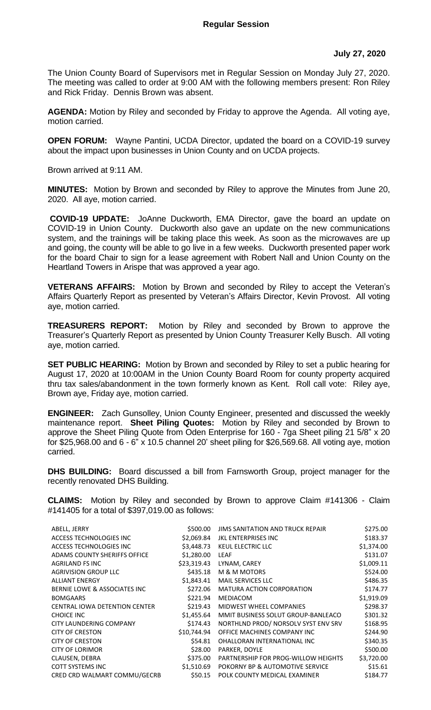The Union County Board of Supervisors met in Regular Session on Monday July 27, 2020. The meeting was called to order at 9:00 AM with the following members present: Ron Riley and Rick Friday. Dennis Brown was absent.

**AGENDA:** Motion by Riley and seconded by Friday to approve the Agenda. All voting aye, motion carried.

**OPEN FORUM:** Wayne Pantini, UCDA Director, updated the board on a COVID-19 survey about the impact upon businesses in Union County and on UCDA projects.

Brown arrived at 9:11 AM.

**MINUTES:** Motion by Brown and seconded by Riley to approve the Minutes from June 20, 2020. All aye, motion carried.

**COVID-19 UPDATE:** JoAnne Duckworth, EMA Director, gave the board an update on COVID-19 in Union County. Duckworth also gave an update on the new communications system, and the trainings will be taking place this week. As soon as the microwaves are up and going, the county will be able to go live in a few weeks. Duckworth presented paper work for the board Chair to sign for a lease agreement with Robert Nall and Union County on the Heartland Towers in Arispe that was approved a year ago.

**VETERANS AFFAIRS:** Motion by Brown and seconded by Riley to accept the Veteran's Affairs Quarterly Report as presented by Veteran's Affairs Director, Kevin Provost. All voting aye, motion carried.

**TREASURERS REPORT:** Motion by Riley and seconded by Brown to approve the Treasurer's Quarterly Report as presented by Union County Treasurer Kelly Busch. All voting aye, motion carried.

**SET PUBLIC HEARING:** Motion by Brown and seconded by Riley to set a public hearing for August 17, 2020 at 10:00AM in the Union County Board Room for county property acquired thru tax sales/abandonment in the town formerly known as Kent. Roll call vote: Riley aye, Brown aye, Friday aye, motion carried.

**ENGINEER:** Zach Gunsolley, Union County Engineer, presented and discussed the weekly maintenance report. **Sheet Piling Quotes:** Motion by Riley and seconded by Brown to approve the Sheet Piling Quote from Oden Enterprise for 160 - 7ga Sheet piling 21 5/8" x 20 for \$25,968.00 and 6 - 6" x 10.5 channel 20' sheet piling for \$26,569.68. All voting aye, motion carried.

**DHS BUILDING:** Board discussed a bill from Farnsworth Group, project manager for the recently renovated DHS Building.

**CLAIMS:** Motion by Riley and seconded by Brown to approve Claim #141306 - Claim #141405 for a total of \$397,019.00 as follows:

| ABELL, JERRY                         | \$500.00    | JIMS SANITATION AND TRUCK REPAIR    | \$275.00   |
|--------------------------------------|-------------|-------------------------------------|------------|
| ACCESS TECHNOLOGIES INC              | \$2,069.84  | <b>JKL ENTERPRISES INC</b>          | \$183.37   |
| ACCESS TECHNOLOGIES INC              | \$3,448.73  | <b>KEUL ELECTRIC LLC</b>            | \$1,374.00 |
| ADAMS COUNTY SHERIFFS OFFICE         | \$1,280.00  | LEAF                                | \$131.07   |
| <b>AGRILAND FS INC</b>               | \$23,319.43 | LYNAM, CAREY                        | \$1,009.11 |
| <b>AGRIVISION GROUP LLC</b>          | \$435.18    | M & M MOTORS                        | \$524.00   |
| <b>ALLIANT ENERGY</b>                | \$1,843.41  | <b>MAIL SERVICES LLC</b>            | \$486.35   |
| BERNIE LOWE & ASSOCIATES INC         | \$272.06    | <b>MATURA ACTION CORPORATION</b>    | \$174.77   |
| <b>BOMGAARS</b>                      | \$221.94    | <b>MEDIACOM</b>                     | \$1,919.09 |
| <b>CENTRAL IOWA DETENTION CENTER</b> | \$219.43    | <b>MIDWEST WHEEL COMPANIES</b>      | \$298.37   |
| <b>CHOICE INC</b>                    | \$1,455.64  | MMIT BUSINESS SOLUT GROUP-BANLEACO  | \$301.32   |
| CITY LAUNDERING COMPANY              | \$174.43    | NORTHLND PROD/ NORSOLV SYST ENV SRV | \$168.95   |
| <b>CITY OF CRESTON</b>               | \$10,744.94 | OFFICE MACHINES COMPANY INC         | \$244.90   |
| <b>CITY OF CRESTON</b>               | \$54.81     | OHALLORAN INTERNATIONAL INC         | \$340.35   |
| <b>CITY OF LORIMOR</b>               | \$28.00     | PARKER, DOYLE                       | \$500.00   |
| CLAUSEN, DEBRA                       | \$375.00    | PARTNERSHIP FOR PROG-WILLOW HEIGHTS | \$3,720.00 |
| <b>COTT SYSTEMS INC</b>              | \$1,510.69  | POKORNY BP & AUTOMOTIVE SERVICE     | \$15.61    |
| CRED CRD WALMART COMMU/GECRB         | \$50.15     | POLK COUNTY MEDICAL EXAMINER        | \$184.77   |